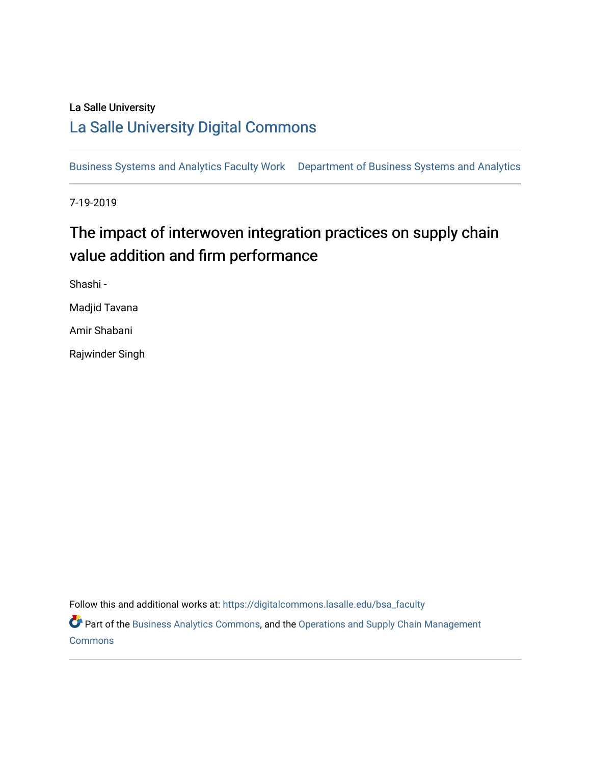## La Salle University

## [La Salle University Digital Commons](https://digitalcommons.lasalle.edu/)

[Business Systems and Analytics Faculty Work](https://digitalcommons.lasalle.edu/bsa_faculty) [Department of Business Systems and Analytics](https://digitalcommons.lasalle.edu/bsa) 

7-19-2019

# The impact of interwoven integration practices on supply chain value addition and firm performance

Shashi -

Madjid Tavana

Amir Shabani

Rajwinder Singh

Follow this and additional works at: [https://digitalcommons.lasalle.edu/bsa\\_faculty](https://digitalcommons.lasalle.edu/bsa_faculty?utm_source=digitalcommons.lasalle.edu%2Fbsa_faculty%2F6&utm_medium=PDF&utm_campaign=PDFCoverPages) 

Part of the [Business Analytics Commons](http://network.bepress.com/hgg/discipline/1398?utm_source=digitalcommons.lasalle.edu%2Fbsa_faculty%2F6&utm_medium=PDF&utm_campaign=PDFCoverPages), and the [Operations and Supply Chain Management](http://network.bepress.com/hgg/discipline/1229?utm_source=digitalcommons.lasalle.edu%2Fbsa_faculty%2F6&utm_medium=PDF&utm_campaign=PDFCoverPages)  **[Commons](http://network.bepress.com/hgg/discipline/1229?utm_source=digitalcommons.lasalle.edu%2Fbsa_faculty%2F6&utm_medium=PDF&utm_campaign=PDFCoverPages)**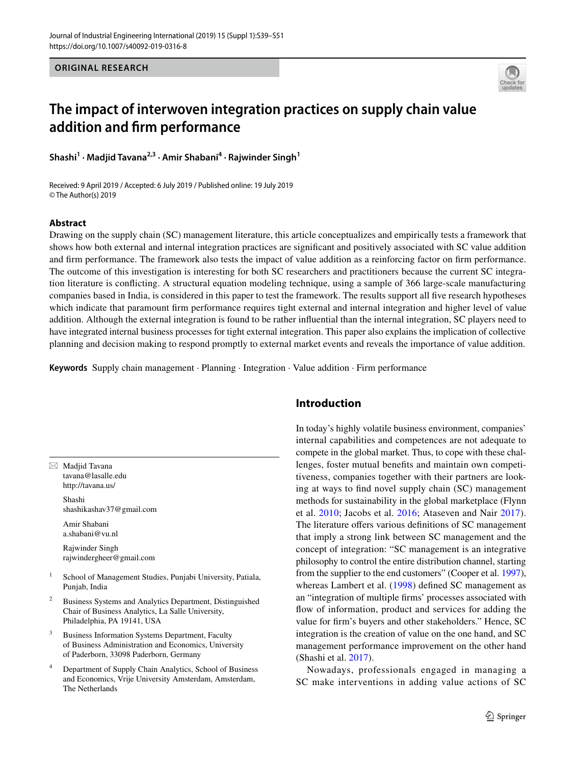**ORIGINAL RESEARCH**



## **The impact of interwoven integration practices on supply chain value addition and frm performance**

**Shashi1 · Madjid Tavana2,3 · Amir Shabani4 · Rajwinder Singh1**

Received: 9 April 2019 / Accepted: 6 July 2019 / Published online: 19 July 2019 © The Author(s) 2019

## **Abstract**

Drawing on the supply chain (SC) management literature, this article conceptualizes and empirically tests a framework that shows how both external and internal integration practices are signifcant and positively associated with SC value addition and frm performance. The framework also tests the impact of value addition as a reinforcing factor on frm performance. The outcome of this investigation is interesting for both SC researchers and practitioners because the current SC integration literature is conficting. A structural equation modeling technique, using a sample of 366 large-scale manufacturing companies based in India, is considered in this paper to test the framework. The results support all fve research hypotheses which indicate that paramount frm performance requires tight external and internal integration and higher level of value addition. Although the external integration is found to be rather infuential than the internal integration, SC players need to have integrated internal business processes for tight external integration. This paper also explains the implication of collective planning and decision making to respond promptly to external market events and reveals the importance of value addition.

**Keywords** Supply chain management · Planning · Integration · Value addition · Firm performance

 $\boxtimes$  Madjid Tavana tavana@lasalle.edu http://tavana.us/

> Shashi shashikashav37@gmail.com

Amir Shabani a.shabani@vu.nl

Rajwinder Singh rajwindergheer@gmail.com

- <sup>1</sup> School of Management Studies, Punjabi University, Patiala, Punjab, India
- <sup>2</sup> Business Systems and Analytics Department, Distinguished Chair of Business Analytics, La Salle University, Philadelphia, PA 19141, USA
- <sup>3</sup> Business Information Systems Department, Faculty of Business Administration and Economics, University of Paderborn, 33098 Paderborn, Germany
- Department of Supply Chain Analytics, School of Business and Economics, Vrije University Amsterdam, Amsterdam, The Netherlands

## **Introduction**

In today's highly volatile business environment, companies' internal capabilities and competences are not adequate to compete in the global market. Thus, to cope with these challenges, foster mutual benefts and maintain own competitiveness, companies together with their partners are looking at ways to fnd novel supply chain (SC) management methods for sustainability in the global marketplace (Flynn et al. [2010;](#page-12-0) Jacobs et al. [2016](#page-12-1); Ataseven and Nair [2017](#page-11-0)). The literature offers various definitions of SC management that imply a strong link between SC management and the concept of integration: "SC management is an integrative philosophy to control the entire distribution channel, starting from the supplier to the end customers" (Cooper et al. [1997](#page-12-2)), whereas Lambert et al. [\(1998\)](#page-12-3) defned SC management as an "integration of multiple frms' processes associated with flow of information, product and services for adding the value for frm's buyers and other stakeholders." Hence, SC integration is the creation of value on the one hand, and SC management performance improvement on the other hand (Shashi et al. [2017](#page-13-0)).

Nowadays, professionals engaged in managing a SC make interventions in adding value actions of SC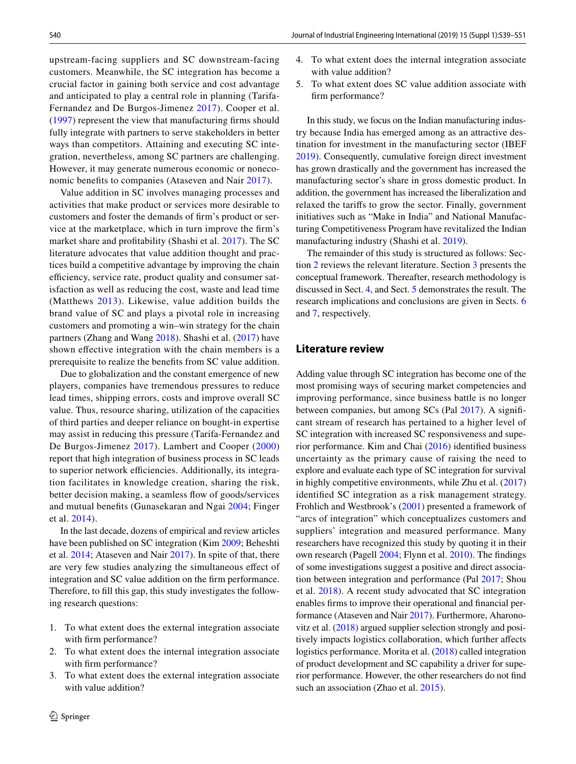upstream-facing suppliers and SC downstream-facing customers. Meanwhile, the SC integration has become a crucial factor in gaining both service and cost advantage and anticipated to play a central role in planning (Tarifa-Fernandez and De Burgos-Jimenez [2017\)](#page-13-1). Cooper et al. [\(1997\)](#page-12-2) represent the view that manufacturing frms should fully integrate with partners to serve stakeholders in better ways than competitors. Attaining and executing SC integration, nevertheless, among SC partners are challenging. However, it may generate numerous economic or noneconomic benefts to companies (Ataseven and Nair [2017\)](#page-11-0).

Value addition in SC involves managing processes and activities that make product or services more desirable to customers and foster the demands of frm's product or service at the marketplace, which in turn improve the frm's market share and proftability (Shashi et al. [2017](#page-13-0)). The SC literature advocates that value addition thought and practices build a competitive advantage by improving the chain efficiency, service rate, product quality and consumer satisfaction as well as reducing the cost, waste and lead time (Matthews [2013](#page-12-4)). Likewise, value addition builds the brand value of SC and plays a pivotal role in increasing customers and promoting a win–win strategy for the chain partners (Zhang and Wang [2018](#page-13-2)). Shashi et al. ([2017\)](#page-13-0) have shown effective integration with the chain members is a prerequisite to realize the benefts from SC value addition.

Due to globalization and the constant emergence of new players, companies have tremendous pressures to reduce lead times, shipping errors, costs and improve overall SC value. Thus, resource sharing, utilization of the capacities of third parties and deeper reliance on bought-in expertise may assist in reducing this pressure (Tarifa-Fernandez and De Burgos-Jimenez [2017](#page-13-1)). Lambert and Cooper ([2000\)](#page-12-5) report that high integration of business process in SC leads to superior network efficiencies. Additionally, its integration facilitates in knowledge creation, sharing the risk, better decision making, a seamless fow of goods/services and mutual benefts (Gunasekaran and Ngai [2004;](#page-12-6) Finger et al. [2014\)](#page-12-7).

In the last decade, dozens of empirical and review articles have been published on SC integration (Kim [2009](#page-12-8); Beheshti et al. [2014](#page-12-9); Ataseven and Nair [2017](#page-11-0)). In spite of that, there are very few studies analyzing the simultaneous efect of integration and SC value addition on the frm performance. Therefore, to fll this gap, this study investigates the following research questions:

- 1. To what extent does the external integration associate with frm performance?
- 2. To what extent does the internal integration associate with frm performance?
- 3. To what extent does the external integration associate with value addition?
- 4. To what extent does the internal integration associate with value addition?
- 5. To what extent does SC value addition associate with frm performance?

In this study, we focus on the Indian manufacturing industry because India has emerged among as an attractive destination for investment in the manufacturing sector (IBEF [2019](#page-12-10)). Consequently, cumulative foreign direct investment has grown drastically and the government has increased the manufacturing sector's share in gross domestic product. In addition, the government has increased the liberalization and relaxed the tarifs to grow the sector. Finally, government initiatives such as "Make in India" and National Manufacturing Competitiveness Program have revitalized the Indian manufacturing industry (Shashi et al. [2019](#page-13-3)).

The remainder of this study is structured as follows: Section [2](#page-6-0) reviews the relevant literature. Section [3](#page-10-0) presents the conceptual framework. Thereafter, research methodology is discussed in Sect. [4](#page-5-0), and Sect. [5](#page-6-0) demonstrates the result. The research implications and conclusions are given in Sects. [6](#page-8-0) and [7](#page-10-0), respectively.

## **Literature review**

Adding value through SC integration has become one of the most promising ways of securing market competencies and improving performance, since business battle is no longer between companies, but among SCs (Pal [2017](#page-12-11)). A signifcant stream of research has pertained to a higher level of SC integration with increased SC responsiveness and superior performance. Kim and Chai ([2016](#page-12-12)) identifed business uncertainty as the primary cause of raising the need to explore and evaluate each type of SC integration for survival in highly competitive environments, while Zhu et al. ([2017\)](#page-13-4) identifed SC integration as a risk management strategy. Frohlich and Westbrook's ([2001\)](#page-12-13) presented a framework of "arcs of integration" which conceptualizes customers and suppliers' integration and measured performance. Many researchers have recognized this study by quoting it in their own research (Pagell [2004](#page-12-14); Flynn et al. [2010](#page-12-0)). The fndings of some investigations suggest a positive and direct association between integration and performance (Pal [2017;](#page-12-11) Shou et al. [2018\)](#page-13-5). A recent study advocated that SC integration enables frms to improve their operational and fnancial performance (Ataseven and Nair [2017\)](#page-11-0). Furthermore, Aharonovitz et al. ([2018](#page-11-1)) argued supplier selection strongly and positively impacts logistics collaboration, which further afects logistics performance. Morita et al. ([2018\)](#page-12-15) called integration of product development and SC capability a driver for superior performance. However, the other researchers do not fnd such an association (Zhao et al. [2015](#page-13-6)).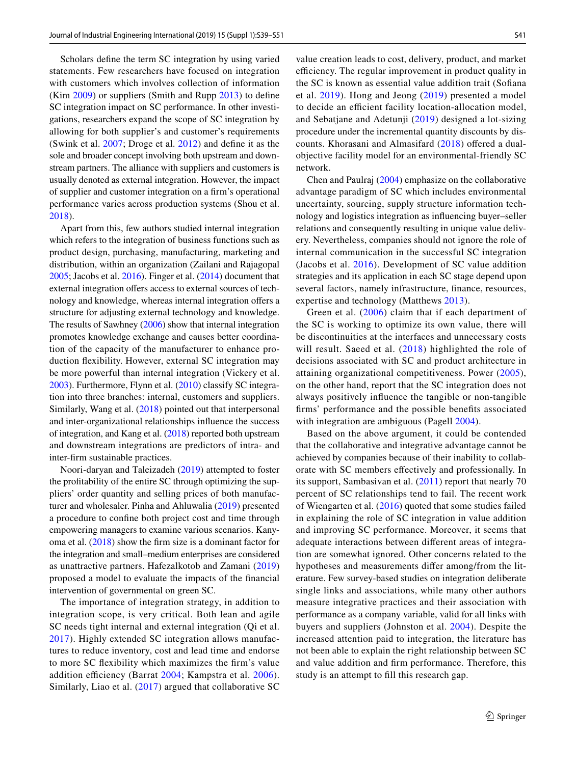Scholars defne the term SC integration by using varied statements. Few researchers have focused on integration with customers which involves collection of information (Kim [2009\)](#page-12-8) or suppliers (Smith and Rupp [2013](#page-13-7)) to defne SC integration impact on SC performance. In other investigations, researchers expand the scope of SC integration by allowing for both supplier's and customer's requirements (Swink et al. [2007](#page-13-8); Droge et al. [2012\)](#page-12-16) and defne it as the sole and broader concept involving both upstream and downstream partners. The alliance with suppliers and customers is usually denoted as external integration. However, the impact of supplier and customer integration on a frm's operational performance varies across production systems (Shou et al. [2018](#page-13-5)).

Apart from this, few authors studied internal integration which refers to the integration of business functions such as product design, purchasing, manufacturing, marketing and distribution, within an organization (Zailani and Rajagopal [2005](#page-13-9); Jacobs et al. [2016](#page-12-1)). Finger et al. ([2014\)](#page-12-7) document that external integration offers access to external sources of technology and knowledge, whereas internal integration offers a structure for adjusting external technology and knowledge. The results of Sawhney [\(2006](#page-13-10)) show that internal integration promotes knowledge exchange and causes better coordination of the capacity of the manufacturer to enhance production fexibility. However, external SC integration may be more powerful than internal integration (Vickery et al. [2003](#page-13-11)). Furthermore, Flynn et al. ([2010\)](#page-12-0) classify SC integration into three branches: internal, customers and suppliers. Similarly, Wang et al. [\(2018](#page-13-12)) pointed out that interpersonal and inter-organizational relationships infuence the success of integration, and Kang et al. [\(2018\)](#page-12-17) reported both upstream and downstream integrations are predictors of intra- and inter-frm sustainable practices.

Noori-daryan and Taleizadeh [\(2019](#page-12-18)) attempted to foster the proftability of the entire SC through optimizing the suppliers' order quantity and selling prices of both manufacturer and wholesaler. Pinha and Ahluwalia [\(2019](#page-12-19)) presented a procedure to confne both project cost and time through empowering managers to examine various scenarios. Kanyoma et al. [\(2018\)](#page-12-20) show the frm size is a dominant factor for the integration and small–medium enterprises are considered as unattractive partners. Hafezalkotob and Zamani [\(2019\)](#page-12-21) proposed a model to evaluate the impacts of the fnancial intervention of governmental on green SC.

The importance of integration strategy, in addition to integration scope, is very critical. Both lean and agile SC needs tight internal and external integration (Qi et al. [2017](#page-13-13)). Highly extended SC integration allows manufactures to reduce inventory, cost and lead time and endorse to more SC fexibility which maximizes the frm's value addition efficiency (Barrat [2004;](#page-11-2) Kampstra et al. [2006](#page-12-22)). Similarly, Liao et al. ([2017\)](#page-12-23) argued that collaborative SC value creation leads to cost, delivery, product, and market efficiency. The regular improvement in product quality in the SC is known as essential value addition trait (Sofana et al. [2019\)](#page-13-14). Hong and Jeong ([2019](#page-12-24)) presented a model to decide an efficient facility location-allocation model, and Sebatjane and Adetunji ([2019](#page-13-15)) designed a lot-sizing procedure under the incremental quantity discounts by discounts. Khorasani and Almasifard ([2018\)](#page-12-25) ofered a dualobjective facility model for an environmental-friendly SC network.

Chen and Paulraj ([2004](#page-12-26)) emphasize on the collaborative advantage paradigm of SC which includes environmental uncertainty, sourcing, supply structure information technology and logistics integration as infuencing buyer–seller relations and consequently resulting in unique value delivery. Nevertheless, companies should not ignore the role of internal communication in the successful SC integration (Jacobs et al. [2016\)](#page-12-1). Development of SC value addition strategies and its application in each SC stage depend upon several factors, namely infrastructure, fnance, resources, expertise and technology (Matthews [2013](#page-12-4)).

Green et al. ([2006\)](#page-12-27) claim that if each department of the SC is working to optimize its own value, there will be discontinuities at the interfaces and unnecessary costs will result. Saeed et al. ([2018\)](#page-13-16) highlighted the role of decisions associated with SC and product architecture in attaining organizational competitiveness. Power ([2005](#page-13-17)), on the other hand, report that the SC integration does not always positively infuence the tangible or non-tangible frms' performance and the possible benefts associated with integration are ambiguous (Pagell [2004\)](#page-12-14).

Based on the above argument, it could be contended that the collaborative and integrative advantage cannot be achieved by companies because of their inability to collaborate with SC members efectively and professionally. In its support, Sambasivan et al. [\(2011](#page-13-18)) report that nearly 70 percent of SC relationships tend to fail. The recent work of Wiengarten et al. ([2016\)](#page-13-19) quoted that some studies failed in explaining the role of SC integration in value addition and improving SC performance. Moreover, it seems that adequate interactions between diferent areas of integration are somewhat ignored. Other concerns related to the hypotheses and measurements difer among/from the literature. Few survey-based studies on integration deliberate single links and associations, while many other authors measure integrative practices and their association with performance as a company variable, valid for all links with buyers and suppliers (Johnston et al. [2004\)](#page-12-28). Despite the increased attention paid to integration, the literature has not been able to explain the right relationship between SC and value addition and frm performance. Therefore, this study is an attempt to fll this research gap.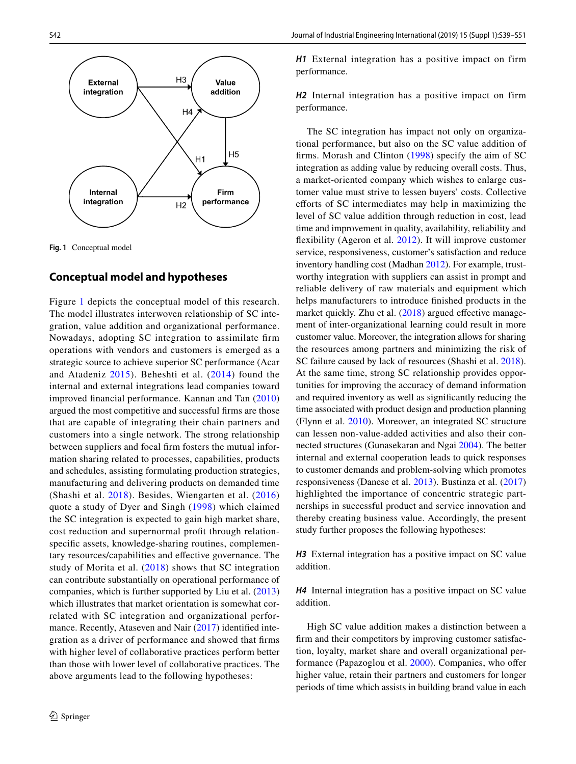

<span id="page-4-0"></span>**Fig. 1** Conceptual model

## **Conceptual model and hypotheses**

Figure [1](#page-4-0) depicts the conceptual model of this research. The model illustrates interwoven relationship of SC integration, value addition and organizational performance. Nowadays, adopting SC integration to assimilate frm operations with vendors and customers is emerged as a strategic source to achieve superior SC performance (Acar and Atadeniz [2015](#page-11-3)). Beheshti et al. ([2014\)](#page-12-9) found the internal and external integrations lead companies toward improved fnancial performance. Kannan and Tan ([2010\)](#page-12-29) argued the most competitive and successful frms are those that are capable of integrating their chain partners and customers into a single network. The strong relationship between suppliers and focal frm fosters the mutual information sharing related to processes, capabilities, products and schedules, assisting formulating production strategies, manufacturing and delivering products on demanded time (Shashi et al. [2018](#page-13-20)). Besides, Wiengarten et al. ([2016\)](#page-13-19) quote a study of Dyer and Singh ([1998\)](#page-12-30) which claimed the SC integration is expected to gain high market share, cost reduction and supernormal proft through relationspecifc assets, knowledge-sharing routines, complementary resources/capabilities and efective governance. The study of Morita et al. ([2018](#page-12-15)) shows that SC integration can contribute substantially on operational performance of companies, which is further supported by Liu et al. [\(2013\)](#page-12-31) which illustrates that market orientation is somewhat correlated with SC integration and organizational perfor-mance. Recently, Ataseven and Nair [\(2017\)](#page-11-0) identified integration as a driver of performance and showed that frms with higher level of collaborative practices perform better than those with lower level of collaborative practices. The above arguments lead to the following hypotheses:

*H1* External integration has a positive impact on firm performance.

*H2* Internal integration has a positive impact on firm performance.

The SC integration has impact not only on organizational performance, but also on the SC value addition of frms. Morash and Clinton [\(1998](#page-12-32)) specify the aim of SC integration as adding value by reducing overall costs. Thus, a market-oriented company which wishes to enlarge customer value must strive to lessen buyers' costs. Collective eforts of SC intermediates may help in maximizing the level of SC value addition through reduction in cost, lead time and improvement in quality, availability, reliability and fexibility (Ageron et al. [2012](#page-11-4)). It will improve customer service, responsiveness, customer's satisfaction and reduce inventory handling cost (Madhan [2012](#page-12-33)). For example, trustworthy integration with suppliers can assist in prompt and reliable delivery of raw materials and equipment which helps manufacturers to introduce fnished products in the market quickly. Zhu et al.  $(2018)$  $(2018)$  $(2018)$  argued effective management of inter-organizational learning could result in more customer value. Moreover, the integration allows for sharing the resources among partners and minimizing the risk of SC failure caused by lack of resources (Shashi et al. [2018](#page-13-20)). At the same time, strong SC relationship provides opportunities for improving the accuracy of demand information and required inventory as well as signifcantly reducing the time associated with product design and production planning (Flynn et al. [2010\)](#page-12-0). Moreover, an integrated SC structure can lessen non-value-added activities and also their connected structures (Gunasekaran and Ngai [2004\)](#page-12-6). The better internal and external cooperation leads to quick responses to customer demands and problem-solving which promotes responsiveness (Danese et al. [2013\)](#page-12-34). Bustinza et al. ([2017\)](#page-12-35) highlighted the importance of concentric strategic partnerships in successful product and service innovation and thereby creating business value. Accordingly, the present study further proposes the following hypotheses:

*H3* External integration has a positive impact on SC value addition.

*H4* Internal integration has a positive impact on SC value addition.

High SC value addition makes a distinction between a firm and their competitors by improving customer satisfaction, loyalty, market share and overall organizational per-formance (Papazoglou et al. [2000\)](#page-12-36). Companies, who offer higher value, retain their partners and customers for longer periods of time which assists in building brand value in each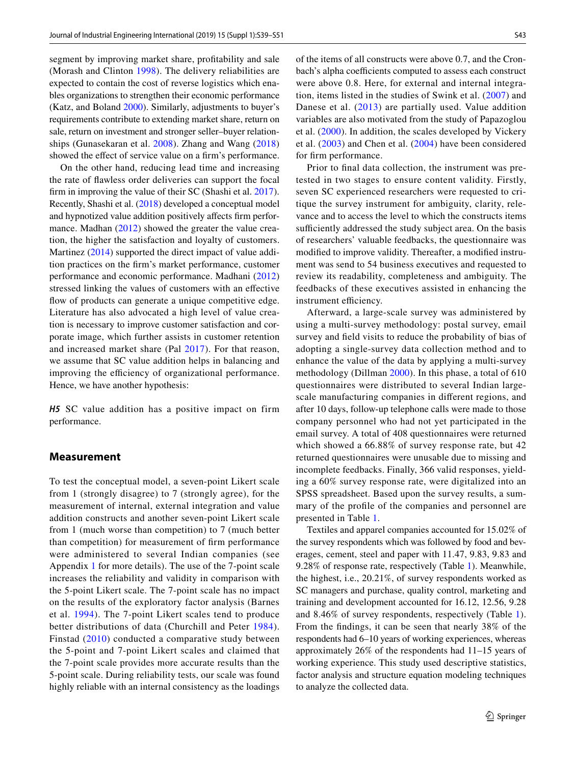segment by improving market share, proftability and sale (Morash and Clinton [1998\)](#page-12-32). The delivery reliabilities are expected to contain the cost of reverse logistics which enables organizations to strengthen their economic performance (Katz, and Boland [2000\)](#page-12-37). Similarly, adjustments to buyer's requirements contribute to extending market share, return on sale, return on investment and stronger seller–buyer relationships (Gunasekaran et al. [2008](#page-12-38)). Zhang and Wang [\(2018\)](#page-13-2) showed the efect of service value on a frm's performance.

On the other hand, reducing lead time and increasing the rate of fawless order deliveries can support the focal frm in improving the value of their SC (Shashi et al. [2017](#page-13-0)). Recently, Shashi et al. ([2018\)](#page-13-20) developed a conceptual model and hypnotized value addition positively afects frm perfor-mance. Madhan [\(2012\)](#page-12-33) showed the greater the value creation, the higher the satisfaction and loyalty of customers. Martinez ([2014\)](#page-12-39) supported the direct impact of value addition practices on the frm's market performance, customer performance and economic performance. Madhani [\(2012\)](#page-12-40) stressed linking the values of customers with an efective flow of products can generate a unique competitive edge. Literature has also advocated a high level of value creation is necessary to improve customer satisfaction and corporate image, which further assists in customer retention and increased market share (Pal [2017\)](#page-12-11). For that reason, we assume that SC value addition helps in balancing and improving the efficiency of organizational performance. Hence, we have another hypothesis:

*H5* SC value addition has a positive impact on firm performance.

## <span id="page-5-0"></span>**Measurement**

To test the conceptual model, a seven-point Likert scale from 1 (strongly disagree) to 7 (strongly agree), for the measurement of internal, external integration and value addition constructs and another seven-point Likert scale from 1 (much worse than competition) to 7 (much better than competition) for measurement of frm performance were administered to several Indian companies (see Appendix [1](#page-11-5) for more details). The use of the 7-point scale increases the reliability and validity in comparison with the 5-point Likert scale. The 7-point scale has no impact on the results of the exploratory factor analysis (Barnes et al. [1994\)](#page-11-6). The 7-point Likert scales tend to produce better distributions of data (Churchill and Peter [1984](#page-12-41)). Finstad [\(2010\)](#page-12-42) conducted a comparative study between the 5-point and 7-point Likert scales and claimed that the 7-point scale provides more accurate results than the 5-point scale. During reliability tests, our scale was found highly reliable with an internal consistency as the loadings of the items of all constructs were above 0.7, and the Cronbach's alpha coefficients computed to assess each construct were above 0.8. Here, for external and internal integration, items listed in the studies of Swink et al. ([2007](#page-13-8)) and Danese et al. ([2013](#page-12-34)) are partially used. Value addition variables are also motivated from the study of Papazoglou et al. [\(2000\)](#page-12-36). In addition, the scales developed by Vickery et al. ([2003](#page-13-11)) and Chen et al. [\(2004](#page-12-43)) have been considered for frm performance.

Prior to fnal data collection, the instrument was pretested in two stages to ensure content validity. Firstly, seven SC experienced researchers were requested to critique the survey instrument for ambiguity, clarity, relevance and to access the level to which the constructs items sufficiently addressed the study subject area. On the basis of researchers' valuable feedbacks, the questionnaire was modifed to improve validity. Thereafter, a modifed instrument was send to 54 business executives and requested to review its readability, completeness and ambiguity. The feedbacks of these executives assisted in enhancing the instrument efficiency.

Afterward, a large-scale survey was administered by using a multi-survey methodology: postal survey, email survey and feld visits to reduce the probability of bias of adopting a single-survey data collection method and to enhance the value of the data by applying a multi-survey methodology (Dillman [2000\)](#page-12-44). In this phase, a total of 610 questionnaires were distributed to several Indian largescale manufacturing companies in diferent regions, and after 10 days, follow-up telephone calls were made to those company personnel who had not yet participated in the email survey. A total of 408 questionnaires were returned which showed a 66.88% of survey response rate, but 42 returned questionnaires were unusable due to missing and incomplete feedbacks. Finally, 366 valid responses, yielding a 60% survey response rate, were digitalized into an SPSS spreadsheet. Based upon the survey results, a summary of the profle of the companies and personnel are presented in Table [1.](#page-6-1)

Textiles and apparel companies accounted for 15.02% of the survey respondents which was followed by food and beverages, cement, steel and paper with 11.47, 9.83, 9.83 and 9.28% of response rate, respectively (Table [1](#page-6-1)). Meanwhile, the highest, i.e., 20.21%, of survey respondents worked as SC managers and purchase, quality control, marketing and training and development accounted for 16.12, 12.56, 9.28 and 8.46% of survey respondents, respectively (Table [1](#page-6-1)). From the fndings, it can be seen that nearly 38% of the respondents had 6–10 years of working experiences, whereas approximately 26% of the respondents had 11–15 years of working experience. This study used descriptive statistics, factor analysis and structure equation modeling techniques to analyze the collected data.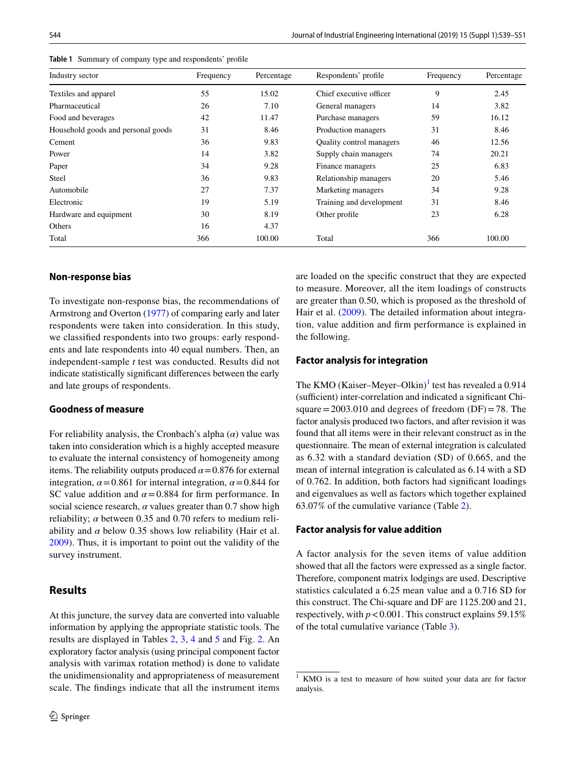| Industry sector                    | Frequency | Percentage | Respondents' profile     | Frequency | Percentage |
|------------------------------------|-----------|------------|--------------------------|-----------|------------|
| Textiles and apparel               | 55        | 15.02      | Chief executive officer  | 9         | 2.45       |
| Pharmaceutical                     | 26        | 7.10       | General managers         | 14        | 3.82       |
| Food and beverages                 | 42        | 11.47      | Purchase managers        | 59        | 16.12      |
| Household goods and personal goods | 31        | 8.46       | Production managers      | 31        | 8.46       |
| Cement                             | 36        | 9.83       | Quality control managers | 46        | 12.56      |
| Power                              | 14        | 3.82       | Supply chain managers    | 74        | 20.21      |
| Paper                              | 34        | 9.28       | Finance managers         | 25        | 6.83       |
| Steel                              | 36        | 9.83       | Relationship managers    | 20        | 5.46       |
| Automobile                         | 27        | 7.37       | Marketing managers       | 34        | 9.28       |
| Electronic                         | 19        | 5.19       | Training and development | 31        | 8.46       |
| Hardware and equipment             | 30        | 8.19       | Other profile            | 23        | 6.28       |
| Others                             | 16        | 4.37       |                          |           |            |
| Total                              | 366       | 100.00     | Total                    | 366       | 100.00     |

<span id="page-6-1"></span>**Table 1** Summary of company type and respondents' profle

## **Non‑response bias**

To investigate non-response bias, the recommendations of Armstrong and Overton ([1977\)](#page-11-7) of comparing early and later respondents were taken into consideration. In this study, we classifed respondents into two groups: early respondents and late respondents into 40 equal numbers. Then, an independent-sample *t* test was conducted. Results did not indicate statistically signifcant diferences between the early and late groups of respondents.

## **Goodness of measure**

For reliability analysis, the Cronbach's alpha (*α*) value was taken into consideration which is a highly accepted measure to evaluate the internal consistency of homogeneity among items. The reliability outputs produced  $\alpha$  = 0.876 for external integration,  $\alpha$  = 0.861 for internal integration,  $\alpha$  = 0.844 for SC value addition and  $\alpha$  = 0.884 for firm performance. In social science research,  $\alpha$  values greater than 0.7 show high reliability;  $\alpha$  between 0.35 and 0.70 refers to medium reliability and  $\alpha$  below 0.35 shows low reliability (Hair et al. [2009](#page-12-45)). Thus, it is important to point out the validity of the survey instrument.

## <span id="page-6-0"></span>**Results**

At this juncture, the survey data are converted into valuable information by applying the appropriate statistic tools. The results are displayed in Tables [2,](#page-7-0) [3,](#page-7-1) [4](#page-8-1) and [5](#page-8-2) and Fig. [2.](#page-9-0) An exploratory factor analysis (using principal component factor analysis with varimax rotation method) is done to validate the unidimensionality and appropriateness of measurement scale. The fndings indicate that all the instrument items are loaded on the specifc construct that they are expected to measure. Moreover, all the item loadings of constructs are greater than 0.50, which is proposed as the threshold of Hair et al. [\(2009\)](#page-12-45). The detailed information about integration, value addition and frm performance is explained in the following.

#### **Factor analysis for integration**

The KMO (Kaiser–Meyer–Olkin)<sup>[1](#page-6-2)</sup> test has revealed a  $0.914$ (sufficient) inter-correlation and indicated a significant Chisquare  $=2003.010$  and degrees of freedom (DF)  $=78$ . The factor analysis produced two factors, and after revision it was found that all items were in their relevant construct as in the questionnaire. The mean of external integration is calculated as 6.32 with a standard deviation (SD) of 0.665, and the mean of internal integration is calculated as 6.14 with a SD of 0.762. In addition, both factors had signifcant loadings and eigenvalues as well as factors which together explained 63.07% of the cumulative variance (Table [2\)](#page-7-0).

#### **Factor analysis for value addition**

A factor analysis for the seven items of value addition showed that all the factors were expressed as a single factor. Therefore, component matrix lodgings are used. Descriptive statistics calculated a 6.25 mean value and a 0.716 SD for this construct. The Chi-square and DF are 1125.200 and 21, respectively, with  $p < 0.001$ . This construct explains 59.15% of the total cumulative variance (Table [3\)](#page-7-1).

<span id="page-6-2"></span><sup>&</sup>lt;sup>1</sup> KMO is a test to measure of how suited your data are for factor analysis.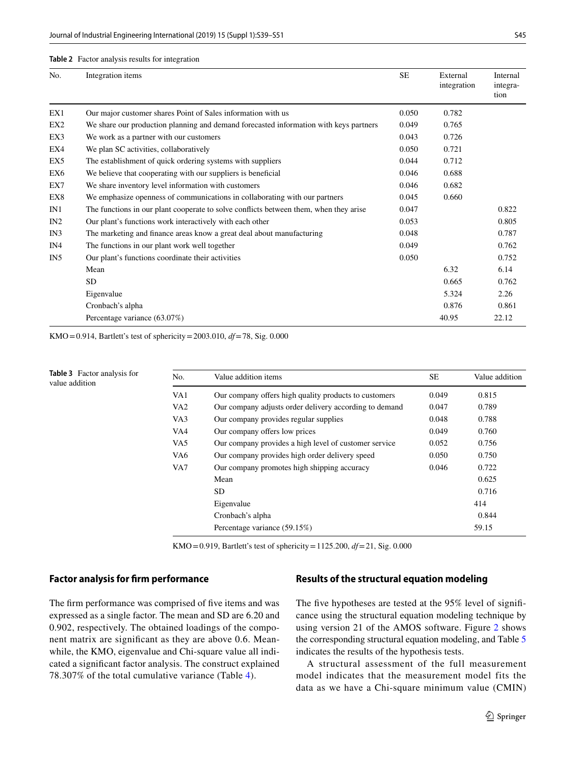#### <span id="page-7-0"></span>**Table 2** Factor analysis results for integration

| No. | Integration items                                                                     | <b>SE</b> | External<br>integration | Internal<br>integra-<br>tion |
|-----|---------------------------------------------------------------------------------------|-----------|-------------------------|------------------------------|
| EX1 | Our major customer shares Point of Sales information with us                          | 0.050     | 0.782                   |                              |
| EX2 | We share our production planning and demand forecasted information with keys partners | 0.049     | 0.765                   |                              |
| EX3 | We work as a partner with our customers                                               | 0.043     | 0.726                   |                              |
| EX4 | We plan SC activities, collaboratively                                                | 0.050     | 0.721                   |                              |
| EX5 | The establishment of quick ordering systems with suppliers                            | 0.044     | 0.712                   |                              |
| EX6 | We believe that cooperating with our suppliers is beneficial                          | 0.046     | 0.688                   |                              |
| EX7 | We share inventory level information with customers                                   | 0.046     | 0.682                   |                              |
| EX8 | We emphasize openness of communications in collaborating with our partners            | 0.045     | 0.660                   |                              |
| IN1 | The functions in our plant cooperate to solve conflicts between them, when they arise | 0.047     |                         | 0.822                        |
| IN2 | Our plant's functions work interactively with each other                              | 0.053     |                         | 0.805                        |
| IN3 | The marketing and finance areas know a great deal about manufacturing                 | 0.048     |                         | 0.787                        |
| IN4 | The functions in our plant work well together                                         | 0.049     |                         | 0.762                        |
| IN5 | Our plant's functions coordinate their activities                                     | 0.050     |                         | 0.752                        |
|     | Mean                                                                                  |           | 6.32                    | 6.14                         |
|     | <b>SD</b>                                                                             |           | 0.665                   | 0.762                        |
|     | Eigenvalue                                                                            |           | 5.324                   | 2.26                         |
|     | Cronbach's alpha                                                                      |           | 0.876                   | 0.861                        |
|     | Percentage variance (63.07%)                                                          |           | 40.95                   | 22.12                        |

KMO=0.914, Bartlett's test of sphericity=2003.010, *df*=78, Sig. 0.000

<span id="page-7-1"></span>

| <b>Table 3</b> Factor analysis for<br>value addition | No.             | Value addition items                                   | <b>SE</b> | Value addition |
|------------------------------------------------------|-----------------|--------------------------------------------------------|-----------|----------------|
|                                                      | VA1             | Our company offers high quality products to customers  | 0.049     | 0.815          |
|                                                      | VA <sub>2</sub> | Our company adjusts order delivery according to demand | 0.047     | 0.789          |
|                                                      | VA3             | Our company provides regular supplies                  | 0.048     | 0.788          |
|                                                      | VA4             | Our company offers low prices                          | 0.049     | 0.760          |
|                                                      | VA <sub>5</sub> | Our company provides a high level of customer service  | 0.052     | 0.756          |
|                                                      | VA <sub>6</sub> | Our company provides high order delivery speed         | 0.050     | 0.750          |
|                                                      | VA7             | Our company promotes high shipping accuracy            | 0.046     | 0.722          |
|                                                      |                 | Mean                                                   |           | 0.625          |
|                                                      |                 | <b>SD</b>                                              |           | 0.716          |
|                                                      |                 | Eigenvalue                                             |           | 414            |
|                                                      |                 | Cronbach's alpha                                       |           | 0.844          |
|                                                      |                 | Percentage variance (59.15%)                           |           | 59.15          |

KMO=0.919, Bartlett's test of sphericity=1125.200, *df*=21, Sig. 0.000

## **Factor analysis for frm performance**

The frm performance was comprised of fve items and was expressed as a single factor. The mean and SD are 6.20 and 0.902, respectively. The obtained loadings of the component matrix are signifcant as they are above 0.6. Meanwhile, the KMO, eigenvalue and Chi-square value all indicated a signifcant factor analysis. The construct explained 78.307% of the total cumulative variance (Table [4](#page-8-1)).

## **Results of the structural equation modeling**

The five hypotheses are tested at the 95% level of significance using the structural equation modeling technique by using version 21 of the AMOS software. Figure [2](#page-9-0) shows the corresponding structural equation modeling, and Table [5](#page-8-2) indicates the results of the hypothesis tests.

A structural assessment of the full measurement model indicates that the measurement model fits the data as we have a Chi-square minimum value (CMIN)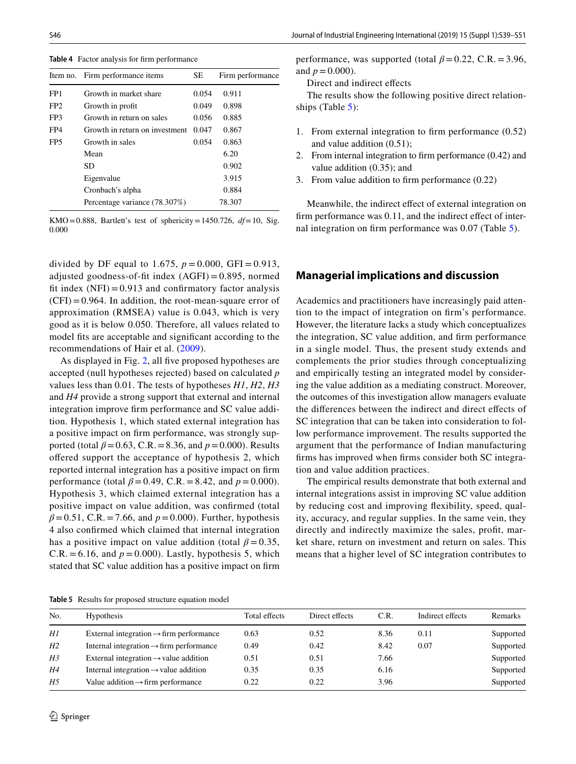<span id="page-8-1"></span>

| Table 4 Factor analysis for firm performance |  |
|----------------------------------------------|--|
|----------------------------------------------|--|

| Item no.        | Firm performance items         | SE.   | Firm performance |
|-----------------|--------------------------------|-------|------------------|
| FP1             | Growth in market share         | 0.054 | 0.911            |
| FP <sub>2</sub> | Growth in profit               | 0.049 | 0.898            |
| FP3             | Growth in return on sales      | 0.056 | 0.885            |
| FP4             | Growth in return on investment | 0.047 | 0.867            |
| FP <sub>5</sub> | Growth in sales                | 0.054 | 0.863            |
|                 | Mean                           |       | 6.20             |
|                 | SD                             |       | 0.902            |
|                 | Eigenvalue                     |       | 3.915            |
|                 | Cronbach's alpha               |       | 0.884            |
|                 | Percentage variance (78.307%)  |       | 78.307           |

KMO=0.888, Bartlett's test of sphericity=1450.726,  $df=10$ , Sig. 0.000

divided by DF equal to 1.675,  $p = 0.000$ , GFI = 0.913, adjusted goodness-of-fit index  $(AGFI) = 0.895$ , normed fit index  $(NFI) = 0.913$  and confirmatory factor analysis  $(CFI) = 0.964$ . In addition, the root-mean-square error of approximation (RMSEA) value is 0.043, which is very good as it is below 0.050. Therefore, all values related to model fts are acceptable and signifcant according to the recommendations of Hair et al. [\(2009](#page-12-45)).

As displayed in Fig. [2](#page-9-0), all fve proposed hypotheses are accepted (null hypotheses rejected) based on calculated *p* values less than 0.01. The tests of hypotheses *H1*, *H2*, *H3* and *H4* provide a strong support that external and internal integration improve frm performance and SC value addition. Hypothesis 1, which stated external integration has a positive impact on frm performance, was strongly supported (total  $\beta$ =0.63, C.R. = 8.36, and  $p$  = 0.000). Results ofered support the acceptance of hypothesis 2, which reported internal integration has a positive impact on frm performance (total  $\beta = 0.49$ , C.R. = 8.42, and  $p = 0.000$ ). Hypothesis 3, which claimed external integration has a positive impact on value addition, was confrmed (total  $\beta = 0.51$ , C.R. = 7.66, and  $p = 0.000$ ). Further, hypothesis 4 also confrmed which claimed that internal integration has a positive impact on value addition (total  $\beta = 0.35$ ,  $C.R. = 6.16$ , and  $p = 0.000$ . Lastly, hypothesis 5, which stated that SC value addition has a positive impact on frm

performance, was supported (total  $\beta$  = 0.22, C.R. = 3.96, and  $p = 0.000$ ).

Direct and indirect efects

The results show the following positive direct relationships (Table [5\)](#page-8-2):

- 1. From external integration to frm performance (0.52) and value addition (0.51);
- 2. From internal integration to frm performance (0.42) and value addition (0.35); and
- 3. From value addition to frm performance (0.22)

Meanwhile, the indirect effect of external integration on firm performance was 0.11, and the indirect effect of internal integration on frm performance was 0.07 (Table [5\)](#page-8-2).

#### <span id="page-8-0"></span>**Managerial implications and discussion**

Academics and practitioners have increasingly paid attention to the impact of integration on frm's performance. However, the literature lacks a study which conceptualizes the integration, SC value addition, and frm performance in a single model. Thus, the present study extends and complements the prior studies through conceptualizing and empirically testing an integrated model by considering the value addition as a mediating construct. Moreover, the outcomes of this investigation allow managers evaluate the diferences between the indirect and direct efects of SC integration that can be taken into consideration to follow performance improvement. The results supported the argument that the performance of Indian manufacturing frms has improved when frms consider both SC integration and value addition practices.

The empirical results demonstrate that both external and internal integrations assist in improving SC value addition by reducing cost and improving fexibility, speed, quality, accuracy, and regular supplies. In the same vein, they directly and indirectly maximize the sales, proft, market share, return on investment and return on sales. This means that a higher level of SC integration contributes to

<span id="page-8-2"></span>**Table 5** Results for proposed structure equation model

| N <sub>o</sub> | <b>Hypothesis</b>                                   | Total effects | Direct effects | C.R. | Indirect effects | Remarks   |
|----------------|-----------------------------------------------------|---------------|----------------|------|------------------|-----------|
| Hl             | External integration $\rightarrow$ firm performance | 0.63          | 0.52           | 8.36 | 0.11             | Supported |
| H2             | Internal integration $\rightarrow$ firm performance | 0.49          | 0.42           | 8.42 | 0.07             | Supported |
| H <sub>3</sub> | External integration $\rightarrow$ value addition   | 0.51          | 0.51           | 7.66 |                  | Supported |
| H4             | Internal integration $\rightarrow$ value addition   | 0.35          | 0.35           | 6.16 |                  | Supported |
| H5             | Value addition $\rightarrow$ firm performance       | 0.22          | 0.22           | 3.96 |                  | Supported |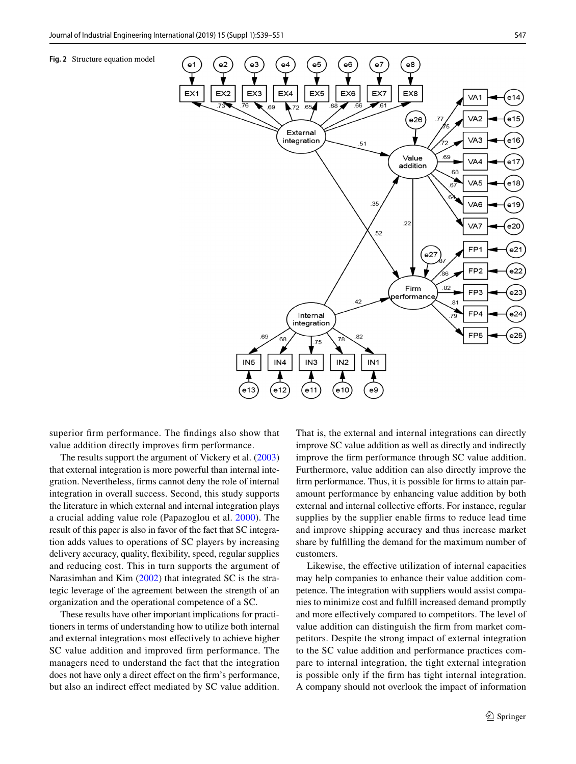<span id="page-9-0"></span>

superior frm performance. The fndings also show that value addition directly improves frm performance.

The results support the argument of Vickery et al. ([2003\)](#page-13-11) that external integration is more powerful than internal integration. Nevertheless, frms cannot deny the role of internal integration in overall success. Second, this study supports the literature in which external and internal integration plays a crucial adding value role (Papazoglou et al. [2000](#page-12-36)). The result of this paper is also in favor of the fact that SC integration adds values to operations of SC players by increasing delivery accuracy, quality, fexibility, speed, regular supplies and reducing cost. This in turn supports the argument of Narasimhan and Kim ([2002\)](#page-12-46) that integrated SC is the strategic leverage of the agreement between the strength of an organization and the operational competence of a SC.

These results have other important implications for practitioners in terms of understanding how to utilize both internal and external integrations most efectively to achieve higher SC value addition and improved frm performance. The managers need to understand the fact that the integration does not have only a direct effect on the firm's performance, but also an indirect efect mediated by SC value addition.

That is, the external and internal integrations can directly improve SC value addition as well as directly and indirectly improve the frm performance through SC value addition. Furthermore, value addition can also directly improve the firm performance. Thus, it is possible for firms to attain paramount performance by enhancing value addition by both external and internal collective efforts. For instance, regular supplies by the supplier enable frms to reduce lead time and improve shipping accuracy and thus increase market share by fulflling the demand for the maximum number of customers.

Likewise, the efective utilization of internal capacities may help companies to enhance their value addition competence. The integration with suppliers would assist companies to minimize cost and fulfll increased demand promptly and more efectively compared to competitors. The level of value addition can distinguish the frm from market competitors. Despite the strong impact of external integration to the SC value addition and performance practices compare to internal integration, the tight external integration is possible only if the frm has tight internal integration. A company should not overlook the impact of information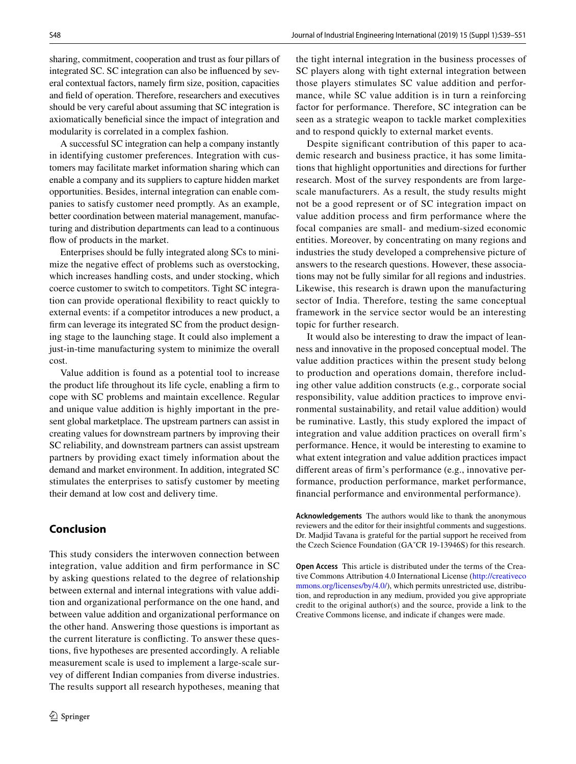A successful SC integration can help a company instantly in identifying customer preferences. Integration with customers may facilitate market information sharing which can enable a company and its suppliers to capture hidden market opportunities. Besides, internal integration can enable companies to satisfy customer need promptly. As an example, better coordination between material management, manufacturing and distribution departments can lead to a continuous flow of products in the market.

Enterprises should be fully integrated along SCs to minimize the negative efect of problems such as overstocking, which increases handling costs, and under stocking, which coerce customer to switch to competitors. Tight SC integration can provide operational fexibility to react quickly to external events: if a competitor introduces a new product, a frm can leverage its integrated SC from the product designing stage to the launching stage. It could also implement a just-in-time manufacturing system to minimize the overall cost.

Value addition is found as a potential tool to increase the product life throughout its life cycle, enabling a frm to cope with SC problems and maintain excellence. Regular and unique value addition is highly important in the present global marketplace. The upstream partners can assist in creating values for downstream partners by improving their SC reliability, and downstream partners can assist upstream partners by providing exact timely information about the demand and market environment. In addition, integrated SC stimulates the enterprises to satisfy customer by meeting their demand at low cost and delivery time.

## <span id="page-10-0"></span>**Conclusion**

This study considers the interwoven connection between integration, value addition and frm performance in SC by asking questions related to the degree of relationship between external and internal integrations with value addition and organizational performance on the one hand, and between value addition and organizational performance on the other hand. Answering those questions is important as the current literature is conficting. To answer these questions, fve hypotheses are presented accordingly. A reliable measurement scale is used to implement a large-scale survey of diferent Indian companies from diverse industries. The results support all research hypotheses, meaning that the tight internal integration in the business processes of SC players along with tight external integration between those players stimulates SC value addition and performance, while SC value addition is in turn a reinforcing factor for performance. Therefore, SC integration can be seen as a strategic weapon to tackle market complexities and to respond quickly to external market events.

Despite signifcant contribution of this paper to academic research and business practice, it has some limitations that highlight opportunities and directions for further research. Most of the survey respondents are from largescale manufacturers. As a result, the study results might not be a good represent or of SC integration impact on value addition process and frm performance where the focal companies are small- and medium-sized economic entities. Moreover, by concentrating on many regions and industries the study developed a comprehensive picture of answers to the research questions. However, these associations may not be fully similar for all regions and industries. Likewise, this research is drawn upon the manufacturing sector of India. Therefore, testing the same conceptual framework in the service sector would be an interesting topic for further research.

It would also be interesting to draw the impact of leanness and innovative in the proposed conceptual model. The value addition practices within the present study belong to production and operations domain, therefore including other value addition constructs (e.g., corporate social responsibility, value addition practices to improve environmental sustainability, and retail value addition) would be ruminative. Lastly, this study explored the impact of integration and value addition practices on overall frm's performance. Hence, it would be interesting to examine to what extent integration and value addition practices impact diferent areas of frm's performance (e.g., innovative performance, production performance, market performance, fnancial performance and environmental performance).

**Acknowledgements** The authors would like to thank the anonymous reviewers and the editor for their insightful comments and suggestions. Dr. Madjid Tavana is grateful for the partial support he received from the Czech Science Foundation (GAˇCR 19-13946S) for this research.

**Open Access** This article is distributed under the terms of the Creative Commons Attribution 4.0 International License ([http://creativeco](http://creativecommons.org/licenses/by/4.0/) [mmons.org/licenses/by/4.0/](http://creativecommons.org/licenses/by/4.0/)), which permits unrestricted use, distribution, and reproduction in any medium, provided you give appropriate credit to the original author(s) and the source, provide a link to the Creative Commons license, and indicate if changes were made.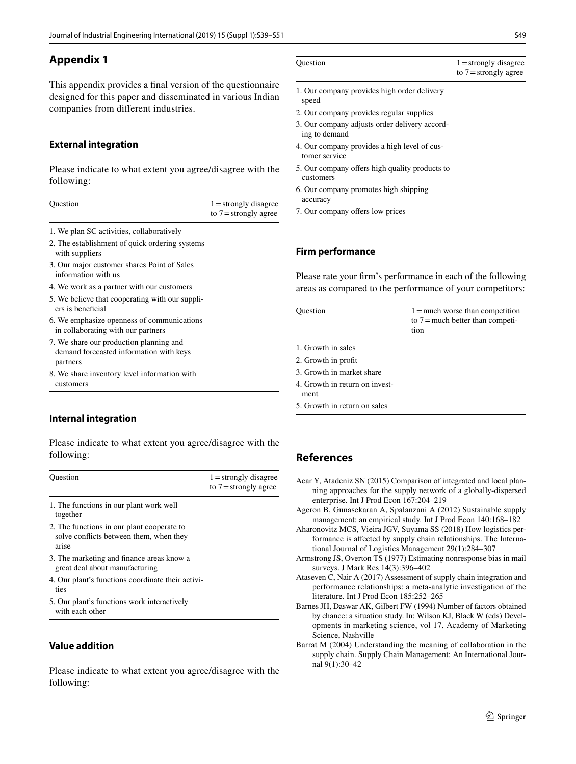## <span id="page-11-5"></span>**Appendix 1**

This appendix provides a fnal version of the questionnaire designed for this paper and disseminated in various Indian companies from diferent industries.

## **External integration**

Please indicate to what extent you agree/disagree with the following:

| Question | $1 =$ strongly disagree<br>to $7 =$ strongly agree |
|----------|----------------------------------------------------|

1. We plan SC activities, collaboratively

2. The establishment of quick ordering systems with suppliers

- 3. Our major customer shares Point of Sales information with us
- 4. We work as a partner with our customers
- 5. We believe that cooperating with our suppliers is beneficial
- 6. We emphasize openness of communications in collaborating with our partners
- 7. We share our production planning and demand forecasted information with keys partners
- 8. We share inventory level information with customers

### **Internal integration**

Please indicate to what extent you agree/disagree with the following:

| <b>Ouestion</b>                                     | $1 =$ strongly disagree<br>to $7 =$ strongly agree |
|-----------------------------------------------------|----------------------------------------------------|
| 1. The functions in our plant work well<br>together |                                                    |

- 2. The functions in our plant cooperate to solve conficts between them, when they arise
- 3. The marketing and fnance areas know a great deal about manufacturing
- 4. Our plant's functions coordinate their activities
- 5. Our plant's functions work interactively with each other

## **Value addition**

Please indicate to what extent you agree/disagree with the following:

- Question  $1 =$ strongly disagree to  $7 =$ strongly agree
- 1. Our company provides high order delivery speed
- 2. Our company provides regular supplies
- 3. Our company adjusts order delivery according to demand
- 4. Our company provides a high level of customer service
- 5. Our company ofers high quality products to customers
- 6. Our company promotes high shipping accuracy
- 7. Our company offers low prices

## **Firm performance**

Please rate your frm's performance in each of the following areas as compared to the performance of your competitors:

| Ouestion                               | $1 =$ much worse than competition<br>to $7 =$ much better than competi-<br>tion |
|----------------------------------------|---------------------------------------------------------------------------------|
| 1. Growth in sales                     |                                                                                 |
| 2. Growth in profit                    |                                                                                 |
| 3. Growth in market share              |                                                                                 |
| 4. Growth in return on invest-<br>ment |                                                                                 |

5. Growth in return on sales

## **References**

- <span id="page-11-3"></span>Acar Y, Atadeniz SN (2015) Comparison of integrated and local planning approaches for the supply network of a globally-dispersed enterprise. Int J Prod Econ 167:204–219
- <span id="page-11-4"></span>Ageron B, Gunasekaran A, Spalanzani A (2012) Sustainable supply management: an empirical study. Int J Prod Econ 140:168–182
- <span id="page-11-1"></span>Aharonovitz MCS, Vieira JGV, Suyama SS (2018) How logistics performance is afected by supply chain relationships. The International Journal of Logistics Management 29(1):284–307
- <span id="page-11-7"></span>Armstrong JS, Overton TS (1977) Estimating nonresponse bias in mail surveys. J Mark Res 14(3):396–402
- <span id="page-11-0"></span>Ataseven C, Nair A (2017) Assessment of supply chain integration and performance relationships: a meta-analytic investigation of the literature. Int J Prod Econ 185:252–265
- <span id="page-11-6"></span>Barnes JH, Daswar AK, Gilbert FW (1994) Number of factors obtained by chance: a situation study. In: Wilson KJ, Black W (eds) Developments in marketing science, vol 17. Academy of Marketing Science, Nashville
- <span id="page-11-2"></span>Barrat M (2004) Understanding the meaning of collaboration in the supply chain. Supply Chain Management: An International Journal 9(1):30–42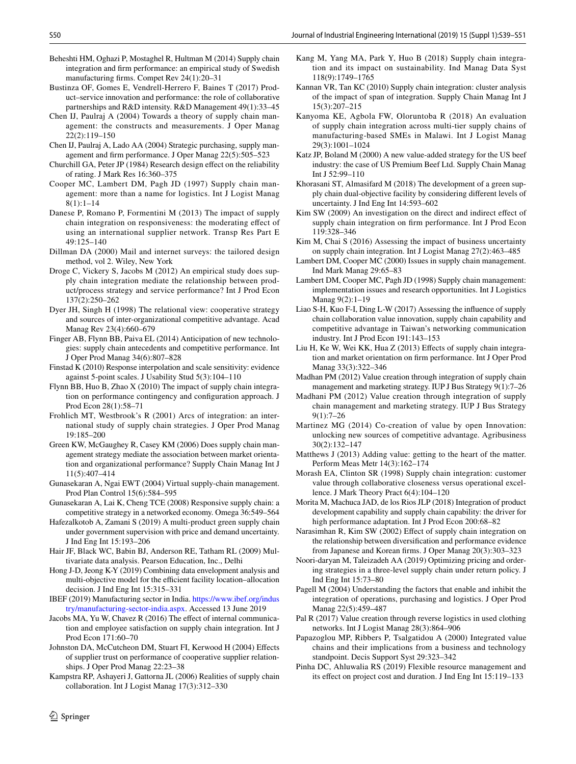- <span id="page-12-9"></span>Beheshti HM, Oghazi P, Mostaghel R, Hultman M (2014) Supply chain integration and frm performance: an empirical study of Swedish manufacturing frms. Compet Rev 24(1):20–31
- <span id="page-12-35"></span>Bustinza OF, Gomes E, Vendrell-Herrero F, Baines T (2017) Product–service innovation and performance: the role of collaborative partnerships and R&D intensity. R&D Management 49(1):33–45
- <span id="page-12-26"></span>Chen IJ, Paulraj A (2004) Towards a theory of supply chain management: the constructs and measurements. J Oper Manag 22(2):119–150
- <span id="page-12-43"></span>Chen IJ, Paulraj A, Lado AA (2004) Strategic purchasing, supply management and frm performance. J Oper Manag 22(5):505–523
- <span id="page-12-41"></span>Churchill GA, Peter JP (1984) Research design efect on the reliability of rating. J Mark Res 16:360–375
- <span id="page-12-2"></span>Cooper MC, Lambert DM, Pagh JD (1997) Supply chain management: more than a name for logistics. Int J Logist Manag 8(1):1–14
- <span id="page-12-34"></span>Danese P, Romano P, Formentini M (2013) The impact of supply chain integration on responsiveness: the moderating efect of using an international supplier network. Transp Res Part E 49:125–140
- <span id="page-12-44"></span>Dillman DA (2000) Mail and internet surveys: the tailored design method, vol 2. Wiley, New York
- <span id="page-12-16"></span>Droge C, Vickery S, Jacobs M (2012) An empirical study does supply chain integration mediate the relationship between product/process strategy and service performance? Int J Prod Econ 137(2):250–262
- <span id="page-12-30"></span>Dyer JH, Singh H (1998) The relational view: cooperative strategy and sources of inter-organizational competitive advantage. Acad Manag Rev 23(4):660–679
- <span id="page-12-7"></span>Finger AB, Flynn BB, Paiva EL (2014) Anticipation of new technologies: supply chain antecedents and competitive performance. Int J Oper Prod Manag 34(6):807–828
- <span id="page-12-42"></span>Finstad K (2010) Response interpolation and scale sensitivity: evidence against 5-point scales. J Usability Stud 5(3):104–110
- <span id="page-12-0"></span>Flynn BB, Huo B, Zhao X (2010) The impact of supply chain integration on performance contingency and confguration approach. J Prod Econ 28(1):58–71
- <span id="page-12-13"></span>Frohlich MT, Westbrook's R (2001) Arcs of integration: an international study of supply chain strategies. J Oper Prod Manag 19:185–200
- <span id="page-12-27"></span>Green KW, McGaughey R, Casey KM (2006) Does supply chain management strategy mediate the association between market orientation and organizational performance? Supply Chain Manag Int J 11(5):407–414
- <span id="page-12-6"></span>Gunasekaran A, Ngai EWT (2004) Virtual supply-chain management. Prod Plan Control 15(6):584–595
- <span id="page-12-38"></span>Gunasekaran A, Lai K, Cheng TCE (2008) Responsive supply chain: a competitive strategy in a networked economy. Omega 36:549–564
- <span id="page-12-21"></span>Hafezalkotob A, Zamani S (2019) A multi-product green supply chain under government supervision with price and demand uncertainty. J Ind Eng Int 15:193–206
- <span id="page-12-45"></span>Hair JF, Black WC, Babin BJ, Anderson RE, Tatham RL (2009) Multivariate data analysis. Pearson Education, Inc., Delhi
- <span id="page-12-24"></span>Hong J-D, Jeong K-Y (2019) Combining data envelopment analysis and multi-objective model for the efficient facility location–allocation decision. J Ind Eng Int 15:315–331
- <span id="page-12-10"></span>IBEF (2019) Manufacturing sector in India. [https://www.ibef.org/indus](https://www.ibef.org/industry/manufacturing-sector-india.aspx) [try/manufacturing-sector-india.aspx](https://www.ibef.org/industry/manufacturing-sector-india.aspx). Accessed 13 June 2019
- <span id="page-12-1"></span>Jacobs MA, Yu W, Chavez R (2016) The effect of internal communication and employee satisfaction on supply chain integration. Int J Prod Econ 171:60–70
- <span id="page-12-28"></span>Johnston DA, McCutcheon DM, Stuart FI, Kerwood H (2004) Efects of supplier trust on performance of cooperative supplier relationships. J Oper Prod Manag 22:23–38
- <span id="page-12-22"></span>Kampstra RP, Ashayeri J, Gattorna JL (2006) Realities of supply chain collaboration. Int J Logist Manag 17(3):312–330
- <span id="page-12-17"></span>Kang M, Yang MA, Park Y, Huo B (2018) Supply chain integration and its impact on sustainability. Ind Manag Data Syst 118(9):1749–1765
- <span id="page-12-29"></span>Kannan VR, Tan KC (2010) Supply chain integration: cluster analysis of the impact of span of integration. Supply Chain Manag Int J 15(3):207–215
- <span id="page-12-20"></span>Kanyoma KE, Agbola FW, Oloruntoba R (2018) An evaluation of supply chain integration across multi-tier supply chains of manufacturing-based SMEs in Malawi. Int J Logist Manag 29(3):1001–1024
- <span id="page-12-37"></span>Katz JP, Boland M (2000) A new value-added strategy for the US beef industry: the case of US Premium Beef Ltd. Supply Chain Manag Int J 52:99–110
- <span id="page-12-25"></span>Khorasani ST, Almasifard M (2018) The development of a green supply chain dual-objective facility by considering diferent levels of uncertainty. J Ind Eng Int 14:593–602
- <span id="page-12-8"></span>Kim SW (2009) An investigation on the direct and indirect efect of supply chain integration on frm performance. Int J Prod Econ 119:328–346
- <span id="page-12-12"></span>Kim M, Chai S (2016) Assessing the impact of business uncertainty on supply chain integration. Int J Logist Manag 27(2):463–485
- <span id="page-12-5"></span>Lambert DM, Cooper MC (2000) Issues in supply chain management. Ind Mark Manag 29:65–83
- <span id="page-12-3"></span>Lambert DM, Cooper MC, Pagh JD (1998) Supply chain management: implementation issues and research opportunities. Int J Logistics Manag 9(2):1–19
- <span id="page-12-23"></span>Liao S-H, Kuo F-I, Ding L-W (2017) Assessing the infuence of supply chain collaboration value innovation, supply chain capability and competitive advantage in Taiwan's networking communication industry. Int J Prod Econ 191:143–153
- <span id="page-12-31"></span>Liu H, Ke W, Wei KK, Hua Z (2013) Efects of supply chain integration and market orientation on frm performance. Int J Oper Prod Manag 33(3):322–346
- <span id="page-12-33"></span>Madhan PM (2012) Value creation through integration of supply chain management and marketing strategy. IUP J Bus Strategy 9(1):7–26
- <span id="page-12-40"></span>Madhani PM (2012) Value creation through integration of supply chain management and marketing strategy. IUP J Bus Strategy  $9(1):7-26$
- <span id="page-12-39"></span>Martinez MG (2014) Co-creation of value by open Innovation: unlocking new sources of competitive advantage. Agribusiness 30(2):132–147
- <span id="page-12-4"></span>Matthews J (2013) Adding value: getting to the heart of the matter. Perform Meas Metr 14(3):162–174
- <span id="page-12-32"></span>Morash EA, Clinton SR (1998) Supply chain integration: customer value through collaborative closeness versus operational excellence. J Mark Theory Pract 6(4):104–120
- <span id="page-12-15"></span>Morita M, Machuca JAD, de los Rios JLP (2018) Integration of product development capability and supply chain capability: the driver for high performance adaptation. Int J Prod Econ 200:68–82
- <span id="page-12-46"></span>Narasimhan R, Kim SW (2002) Efect of supply chain integration on the relationship between diversifcation and performance evidence from Japanese and Korean frms. J Oper Manag 20(3):303–323
- <span id="page-12-18"></span>Noori-daryan M, Taleizadeh AA (2019) Optimizing pricing and ordering strategies in a three-level supply chain under return policy. J Ind Eng Int 15:73–80
- <span id="page-12-14"></span>Pagell M (2004) Understanding the factors that enable and inhibit the integration of operations, purchasing and logistics. J Oper Prod Manag 22(5):459–487
- <span id="page-12-11"></span>Pal R (2017) Value creation through reverse logistics in used clothing networks. Int J Logist Manag 28(3):864–906
- <span id="page-12-36"></span>Papazoglou MP, Ribbers P, Tsalgatidou A (2000) Integrated value chains and their implications from a business and technology standpoint. Decis Support Syst 29:323–342
- <span id="page-12-19"></span>Pinha DC, Ahluwalia RS (2019) Flexible resource management and its efect on project cost and duration. J Ind Eng Int 15:119–133